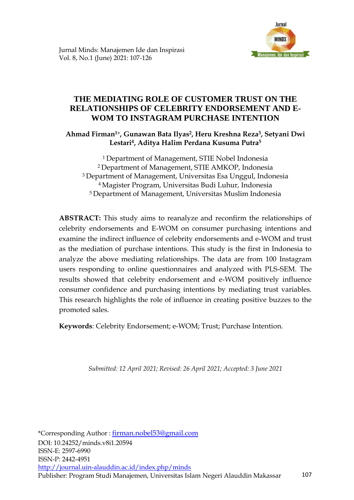

## **THE MEDIATING ROLE OF CUSTOMER TRUST ON THE RELATIONSHIPS OF CELEBRITY ENDORSEMENT AND E-WOM TO INSTAGRAM PURCHASE INTENTION**

**Ahmad Firman<sup>1</sup>**\***, Gunawan Bata Ilyas2, Heru Kreshna Reza3, Setyani Dwi Lestari4, Aditya Halim Perdana Kusuma Putra<sup>5</sup>**

Department of Management, STIE Nobel Indonesia Department of Management, STIE AMKOP, Indonesia Department of Management, Universitas Esa Unggul, Indonesia Magister Program, Universitas Budi Luhur, Indonesia Department of Management, Universitas Muslim Indonesia

**ABSTRACT:** This study aims to reanalyze and reconfirm the relationships of celebrity endorsements and E-WOM on consumer purchasing intentions and examine the indirect influence of celebrity endorsements and e-WOM and trust as the mediation of purchase intentions. This study is the first in Indonesia to analyze the above mediating relationships. The data are from 100 Instagram users responding to online questionnaires and analyzed with PLS-SEM. The results showed that celebrity endorsement and e-WOM positively influence consumer confidence and purchasing intentions by mediating trust variables. This research highlights the role of influence in creating positive buzzes to the promoted sales.

**Keywords**: Celebrity Endorsement; e-WOM; Trust; Purchase Intention.

*Submitted: 12 April 2021; Revised: 26 April 2021; Accepted: 3 June 2021*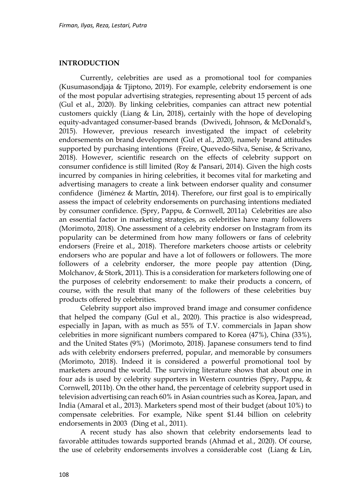#### **INTRODUCTION**

Currently, celebrities are used as a promotional tool for companies (Kusumasondjaja & Tjiptono, 2019). For example, celebrity endorsement is one of the most popular advertising strategies, representing about 15 percent of ads (Gul et al., 2020). By linking celebrities, companies can attract new potential customers quickly (Liang & Lin, 2018), certainly with the hope of developing equity-advantaged consumer-based brands (Dwivedi, Johnson, & McDonald's, 2015). However, previous research investigated the impact of celebrity endorsements on brand development (Gul et al., 2020), namely brand attitudes supported by purchasing intentions (Freire, Quevedo-Silva, Senise, & Scrivano, 2018). However, scientific research on the effects of celebrity support on consumer confidence is still limited (Roy & Pansari, 2014). Given the high costs incurred by companies in hiring celebrities, it becomes vital for marketing and advertising managers to create a link between endorser quality and consumer confidence (Jiménez & Martín, 2014). Therefore, our first goal is to empirically assess the impact of celebrity endorsements on purchasing intentions mediated by consumer confidence. (Spry, Pappu, & Cornwell, 2011a) Celebrities are also an essential factor in marketing strategies, as celebrities have many followers (Morimoto, 2018). One assessment of a celebrity endorser on Instagram from its popularity can be determined from how many followers or fans of celebrity endorsers (Freire et al., 2018). Therefore marketers choose artists or celebrity endorsers who are popular and have a lot of followers or followers. The more followers of a celebrity endorser, the more people pay attention (Ding, Molchanov, & Stork, 2011). This is a consideration for marketers following one of the purposes of celebrity endorsement: to make their products a concern, of course, with the result that many of the followers of these celebrities buy products offered by celebrities.

Celebrity support also improved brand image and consumer confidence that helped the company (Gul et al., 2020). This practice is also widespread, especially in Japan, with as much as 55% of T.V. commercials in Japan show celebrities in more significant numbers compared to Korea (47%), China (33%), and the United States (9%) (Morimoto, 2018). Japanese consumers tend to find ads with celebrity endorsers preferred, popular, and memorable by consumers (Morimoto, 2018). Indeed it is considered a powerful promotional tool by marketers around the world. The surviving literature shows that about one in four ads is used by celebrity supporters in Western countries (Spry, Pappu, & Cornwell, 2011b). On the other hand, the percentage of celebrity support used in television advertising can reach 60% in Asian countries such as Korea, Japan, and India (Amaral et al., 2013). Marketers spend most of their budget (about 10%) to compensate celebrities. For example, Nike spent \$1.44 billion on celebrity endorsements in 2003 (Ding et al., 2011).

A recent study has also shown that celebrity endorsements lead to favorable attitudes towards supported brands (Ahmad et al., 2020). Of course, the use of celebrity endorsements involves a considerable cost (Liang & Lin,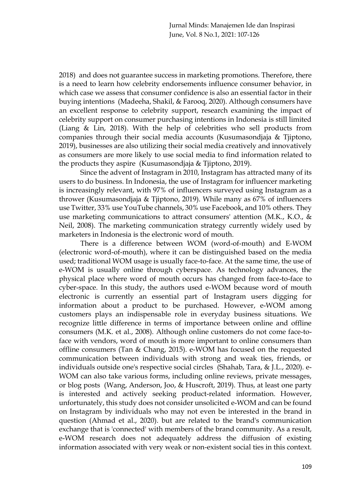2018) and does not guarantee success in marketing promotions. Therefore, there is a need to learn how celebrity endorsements influence consumer behavior, in which case we assess that consumer confidence is also an essential factor in their buying intentions (Madeeha, Shakil, & Farooq, 2020). Although consumers have an excellent response to celebrity support, research examining the impact of celebrity support on consumer purchasing intentions in Indonesia is still limited (Liang & Lin, 2018). With the help of celebrities who sell products from companies through their social media accounts (Kusumasondjaja & Tjiptono, 2019), businesses are also utilizing their social media creatively and innovatively as consumers are more likely to use social media to find information related to the products they aspire (Kusumasondjaja & Tjiptono, 2019).

Since the advent of Instagram in 2010, Instagram has attracted many of its users to do business. In Indonesia, the use of Instagram for influencer marketing is increasingly relevant, with 97% of influencers surveyed using Instagram as a thrower (Kusumasondjaja & Tjiptono, 2019). While many as 67% of influencers use Twitter, 33% use YouTube channels, 30% use Facebook, and 10% others. They use marketing communications to attract consumers' attention (M.K., K.O., & Neil, 2008). The marketing communication strategy currently widely used by marketers in Indonesia is the electronic word of mouth.

There is a difference between WOM (word-of-mouth) and E-WOM (electronic word-of-mouth), where it can be distinguished based on the media used; traditional WOM usage is usually face-to-face. At the same time, the use of e-WOM is usually online through cyberspace. As technology advances, the physical place where word of mouth occurs has changed from face-to-face to cyber-space. In this study, the authors used e-WOM because word of mouth electronic is currently an essential part of Instagram users digging for information about a product to be purchased. However, e-WOM among customers plays an indispensable role in everyday business situations. We recognize little difference in terms of importance between online and offline consumers (M.K. et al., 2008). Although online customers do not come face-toface with vendors, word of mouth is more important to online consumers than offline consumers (Tan & Chang, 2015). e-WOM has focused on the requested communication between individuals with strong and weak ties, friends, or individuals outside one's respective social circles (Shahab, Tara, & J.L., 2020). e-WOM can also take various forms, including online reviews, private messages, or blog posts (Wang, Anderson, Joo, & Huscroft, 2019). Thus, at least one party is interested and actively seeking product-related information. However, unfortunately, this study does not consider unsolicited e-WOM and can be found on Instagram by individuals who may not even be interested in the brand in question (Ahmad et al., 2020). but are related to the brand's communication exchange that is 'connected' with members of the brand community. As a result, e-WOM research does not adequately address the diffusion of existing information associated with very weak or non-existent social ties in this context.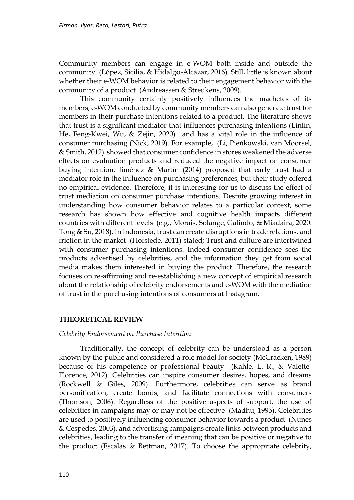Community members can engage in e-WOM both inside and outside the community (López, Sicilia, & Hidalgo-Alcázar, 2016). Still, little is known about whether their e-WOM behavior is related to their engagement behavior with the community of a product (Andreassen & Streukens, 2009).

This community certainly positively influences the machetes of its members; e-WOM conducted by community members can also generate trust for members in their purchase intentions related to a product. The literature shows that trust is a significant mediator that influences purchasing intentions (Linlin, He, Feng-Kwei, Wu, & Zejin, 2020) and has a vital role in the influence of consumer purchasing (Nick, 2019). For example, (Li, Pieńkowski, van Moorsel, & Smith, 2012) showed that consumer confidence in stores weakened the adverse effects on evaluation products and reduced the negative impact on consumer buying intention. Jiménez & Martín (2014) proposed that early trust had a mediator role in the influence on purchasing preferences, but their study offered no empirical evidence. Therefore, it is interesting for us to discuss the effect of trust mediation on consumer purchase intentions. Despite growing interest in understanding how consumer behavior relates to a particular context, some research has shown how effective and cognitive health impacts different countries with different levels (e.g., Morais, Solange, Galindo, & Miadaira, 2020: Tong & Su, 2018). In Indonesia, trust can create disruptions in trade relations, and friction in the market (Hofstede, 2011) stated; Trust and culture are intertwined with consumer purchasing intentions. Indeed consumer confidence sees the products advertised by celebrities, and the information they get from social media makes them interested in buying the product. Therefore, the research focuses on re-affirming and re-establishing a new concept of empirical research about the relationship of celebrity endorsements and e-WOM with the mediation of trust in the purchasing intentions of consumers at Instagram.

## **THEORETICAL REVIEW**

## *Celebrity Endorsement on Purchase Intention*

Traditionally, the concept of celebrity can be understood as a person known by the public and considered a role model for society (McCracken, 1989) because of his competence or professional beauty (Kahle, L. R., & Valette-Florence, 2012). Celebrities can inspire consumer desires, hopes, and dreams (Rockwell & Giles, 2009). Furthermore, celebrities can serve as brand personification, create bonds, and facilitate connections with consumers (Thomson, 2006). Regardless of the positive aspects of support, the use of celebrities in campaigns may or may not be effective (Madhu, 1995). Celebrities are used to positively influencing consumer behavior towards a product (Nunes & Cespedes, 2003), and advertising campaigns create links between products and celebrities, leading to the transfer of meaning that can be positive or negative to the product (Escalas & Bettman, 2017). To choose the appropriate celebrity,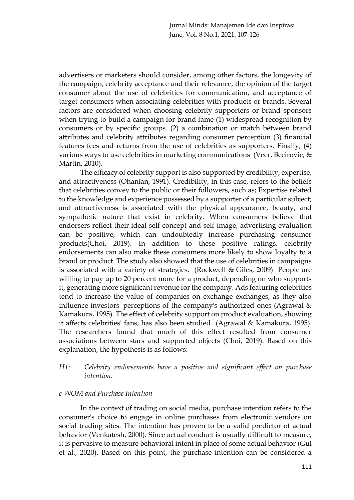Jurnal Minds: Manajemen Ide dan Inspirasi June, Vol. 8 No.1, 2021: 107-126

advertisers or marketers should consider, among other factors, the longevity of the campaign, celebrity acceptance and their relevance, the opinion of the target consumer about the use of celebrities for communication, and acceptance of target consumers when associating celebrities with products or brands. Several factors are considered when choosing celebrity supporters or brand sponsors when trying to build a campaign for brand fame (1) widespread recognition by consumers or by specific groups. (2) a combination or match between brand attributes and celebrity attributes regarding consumer perception (3) financial features fees and returns from the use of celebrities as supporters. Finally, (4) various ways to use celebrities in marketing communications (Veer, Becirovic, & Martin, 2010).

The efficacy of celebrity support is also supported by credibility, expertise, and attractiveness (Ohanian, 1991). Credibility, in this case, refers to the beliefs that celebrities convey to the public or their followers, such as; Expertise related to the knowledge and experience possessed by a supporter of a particular subject; and attractiveness is associated with the physical appearance, beauty, and sympathetic nature that exist in celebrity. When consumers believe that endorsers reflect their ideal self-concept and self-image, advertising evaluation can be positive, which can undoubtedly increase purchasing consumer products(Choi, 2019). In addition to these positive ratings, celebrity endorsements can also make these consumers more likely to show loyalty to a brand or product. The study also showed that the use of celebrities in campaigns is associated with a variety of strategies. (Rockwell & Giles, 2009) People are willing to pay up to 20 percent more for a product, depending on who supports it, generating more significant revenue for the company. Ads featuring celebrities tend to increase the value of companies on exchange exchanges, as they also influence investors' perceptions of the company's authorized ones (Agrawal & Kamakura, 1995). The effect of celebrity support on product evaluation, showing it affects celebrities' fans, has also been studied (Agrawal & Kamakura, 1995). The researchers found that much of this effect resulted from consumer associations between stars and supported objects (Choi, 2019). Based on this explanation, the hypothesis is as follows:

## *H1: Celebrity endorsements have a positive and significant effect on purchase intention*.

#### *e-WOM and Purchase Intention*

In the context of trading on social media, purchase intention refers to the consumer's choice to engage in online purchases from electronic vendors on social trading sites. The intention has proven to be a valid predictor of actual behavior (Venkatesh, 2000). Since actual conduct is usually difficult to measure, it is pervasive to measure behavioral intent in place of some actual behavior (Gul et al., 2020). Based on this point, the purchase intention can be considered a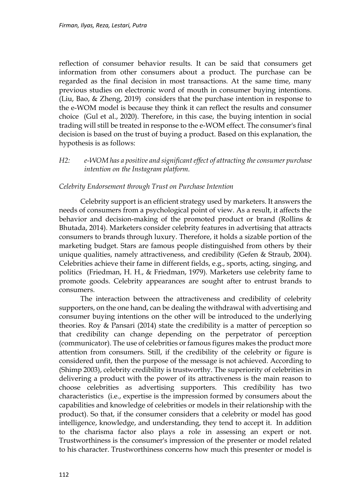reflection of consumer behavior results. It can be said that consumers get information from other consumers about a product. The purchase can be regarded as the final decision in most transactions. At the same time, many previous studies on electronic word of mouth in consumer buying intentions. (Liu, Bao, & Zheng, 2019) considers that the purchase intention in response to the e-WOM model is because they think it can reflect the results and consumer choice (Gul et al., 2020). Therefore, in this case, the buying intention in social trading will still be treated in response to the e-WOM effect. The consumer's final decision is based on the trust of buying a product. Based on this explanation, the hypothesis is as follows:

## *H2: e-WOM has a positive and significant effect of attracting the consumer purchase intention on the Instagram platform.*

## *Celebrity Endorsement through Trust on Purchase Intention*

Celebrity support is an efficient strategy used by marketers. It answers the needs of consumers from a psychological point of view. As a result, it affects the behavior and decision-making of the promoted product or brand (Rollins & Bhutada, 2014). Marketers consider celebrity features in advertising that attracts consumers to brands through luxury. Therefore, it holds a sizable portion of the marketing budget. Stars are famous people distinguished from others by their unique qualities, namely attractiveness, and credibility (Gefen & Straub, 2004). Celebrities achieve their fame in different fields, e.g., sports, acting, singing, and politics (Friedman, H. H., & Friedman, 1979). Marketers use celebrity fame to promote goods. Celebrity appearances are sought after to entrust brands to consumers.

The interaction between the attractiveness and credibility of celebrity supporters, on the one hand, can be dealing the withdrawal with advertising and consumer buying intentions on the other will be introduced to the underlying theories. Roy & Pansari (2014) state the credibility is a matter of perception so that credibility can change depending on the perpetrator of perception (communicator). The use of celebrities or famous figures makes the product more attention from consumers. Still, if the credibility of the celebrity or figure is considered unfit, then the purpose of the message is not achieved. According to (Shimp 2003), celebrity credibility is trustworthy. The superiority of celebrities in delivering a product with the power of its attractiveness is the main reason to choose celebrities as advertising supporters. This credibility has two characteristics (i.e., expertise is the impression formed by consumers about the capabilities and knowledge of celebrities or models in their relationship with the product). So that, if the consumer considers that a celebrity or model has good intelligence, knowledge, and understanding, they tend to accept it. In addition to the charisma factor also plays a role in assessing an expert or not. Trustworthiness is the consumer's impression of the presenter or model related to his character. Trustworthiness concerns how much this presenter or model is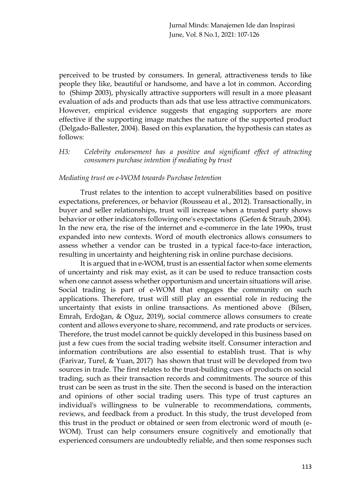perceived to be trusted by consumers. In general, attractiveness tends to like people they like, beautiful or handsome, and have a lot in common. According to (Shimp 2003), physically attractive supporters will result in a more pleasant evaluation of ads and products than ads that use less attractive communicators. However, empirical evidence suggests that engaging supporters are more effective if the supporting image matches the nature of the supported product (Delgado‐Ballester, 2004). Based on this explanation, the hypothesis can states as follows:

*H3: Celebrity endorsement has a positive and significant effect of attracting consumers purchase intention if mediating by trust*

#### *Mediating trust on e-WOM towards Purchase Intention*

Trust relates to the intention to accept vulnerabilities based on positive expectations, preferences, or behavior (Rousseau et al., 2012). Transactionally, in buyer and seller relationships, trust will increase when a trusted party shows behavior or other indicators following one's expectations (Gefen & Straub, 2004). In the new era, the rise of the internet and e-commerce in the late 1990s, trust expanded into new contexts. Word of mouth electronics allows consumers to assess whether a vendor can be trusted in a typical face-to-face interaction, resulting in uncertainty and heightening risk in online purchase decisions.

It is argued that in e-WOM, trust is an essential factor when some elements of uncertainty and risk may exist, as it can be used to reduce transaction costs when one cannot assess whether opportunism and uncertain situations will arise. Social trading is part of e-WOM that engages the community on such applications. Therefore, trust will still play an essential role in reducing the uncertainty that exists in online transactions. As mentioned above (Bilsen, Emrah, Erdoğan, & Oğuz, 2019), social commerce allows consumers to create content and allows everyone to share, recommend, and rate products or services. Therefore, the trust model cannot be quickly developed in this business based on just a few cues from the social trading website itself. Consumer interaction and information contributions are also essential to establish trust. That is why (Farivar, Turel, & Yuan, 2017) has shown that trust will be developed from two sources in trade. The first relates to the trust-building cues of products on social trading, such as their transaction records and commitments. The source of this trust can be seen as trust in the site. Then the second is based on the interaction and opinions of other social trading users. This type of trust captures an individual's willingness to be vulnerable to recommendations, comments, reviews, and feedback from a product. In this study, the trust developed from this trust in the product or obtained or seen from electronic word of mouth (e-WOM). Trust can help consumers ensure cognitively and emotionally that experienced consumers are undoubtedly reliable, and then some responses such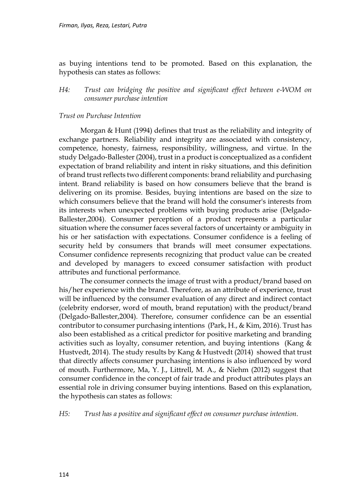as buying intentions tend to be promoted. Based on this explanation, the hypothesis can states as follows:

*H4: Trust can bridging the positive and significant effect between e-WOM on consumer purchase intention* 

## *Trust on Purchase Intention*

Morgan & Hunt (1994) defines that trust as the reliability and integrity of exchange partners. Reliability and integrity are associated with consistency, competence, honesty, fairness, responsibility, willingness, and virtue. In the study Delgado‐Ballester (2004), trust in a product is conceptualized as a confident expectation of brand reliability and intent in risky situations, and this definition of brand trust reflects two different components: brand reliability and purchasing intent. Brand reliability is based on how consumers believe that the brand is delivering on its promise. Besides, buying intentions are based on the size to which consumers believe that the brand will hold the consumer's interests from its interests when unexpected problems with buying products arise (Delgado‐ Ballester,2004). Consumer perception of a product represents a particular situation where the consumer faces several factors of uncertainty or ambiguity in his or her satisfaction with expectations. Consumer confidence is a feeling of security held by consumers that brands will meet consumer expectations. Consumer confidence represents recognizing that product value can be created and developed by managers to exceed consumer satisfaction with product attributes and functional performance.

The consumer connects the image of trust with a product/brand based on his/her experience with the brand. Therefore, as an attribute of experience, trust will be influenced by the consumer evaluation of any direct and indirect contact (celebrity endorser, word of mouth, brand reputation) with the product/brand (Delgado‐Ballester,2004). Therefore, consumer confidence can be an essential contributor to consumer purchasing intentions (Park, H., & Kim, 2016). Trust has also been established as a critical predictor for positive marketing and branding activities such as loyalty, consumer retention, and buying intentions (Kang & Hustvedt, 2014). The study results by Kang & Hustvedt (2014) showed that trust that directly affects consumer purchasing intentions is also influenced by word of mouth. Furthermore, Ma, Y. J., Littrell, M. A., & Niehm (2012) suggest that consumer confidence in the concept of fair trade and product attributes plays an essential role in driving consumer buying intentions. Based on this explanation, the hypothesis can states as follows:

*H5: Trust has a positive and significant effect on consumer purchase intention.*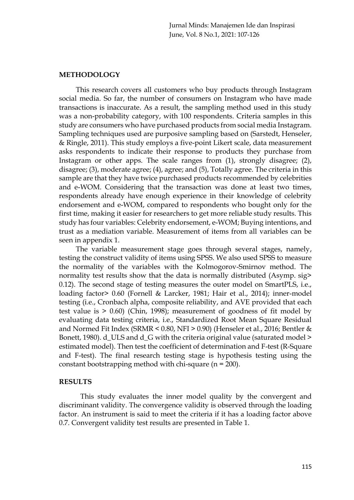Jurnal Minds: Manajemen Ide dan Inspirasi June, Vol. 8 No.1, 2021: 107-126

#### **METHODOLOGY**

This research covers all customers who buy products through Instagram social media. So far, the number of consumers on Instagram who have made transactions is inaccurate. As a result, the sampling method used in this study was a non-probability category, with 100 respondents. Criteria samples in this study are consumers who have purchased products from social media Instagram. Sampling techniques used are purposive sampling based on (Sarstedt, Henseler, & Ringle, 2011). This study employs a five-point Likert scale, data measurement asks respondents to indicate their response to products they purchase from Instagram or other apps. The scale ranges from (1), strongly disagree; (2), disagree; (3), moderate agree; (4), agree; and (5), Totally agree. The criteria in this sample are that they have twice purchased products recommended by celebrities and e-WOM. Considering that the transaction was done at least two times, respondents already have enough experience in their knowledge of celebrity endorsement and e-WOM, compared to respondents who bought only for the first time, making it easier for researchers to get more reliable study results. This study has four variables: Celebrity endorsement, e-WOM; Buying intentions, and trust as a mediation variable. Measurement of items from all variables can be seen in appendix 1.

The variable measurement stage goes through several stages, namely, testing the construct validity of items using SPSS. We also used SPSS to measure the normality of the variables with the Kolmogorov-Smirnov method. The normality test results show that the data is normally distributed (Asymp. sig> 0.12). The second stage of testing measures the outer model on SmartPLS, i.e., loading factor> 0.60 (Fornell & Larcker, 1981; Hair et al., 2014); inner-model testing (i.e., Cronbach alpha, composite reliability, and AVE provided that each test value is > 0.60) (Chin, 1998); measurement of goodness of fit model by evaluating data testing criteria, i.e., Standardized Root Mean Square Residual and Normed Fit Index (SRMR < 0.80, NFI > 0.90) (Henseler et al., 2016; Bentler & Bonett, 1980). d\_ULS and d\_G with the criteria original value (saturated model > estimated model). Then test the coefficient of determination and F-test (R-Square and F-test). The final research testing stage is hypothesis testing using the constant bootstrapping method with chi-square  $(n = 200)$ .

#### **RESULTS**

This study evaluates the inner model quality by the convergent and discriminant validity. The convergence validity is observed through the loading factor. An instrument is said to meet the criteria if it has a loading factor above 0.7. Convergent validity test results are presented in Table 1.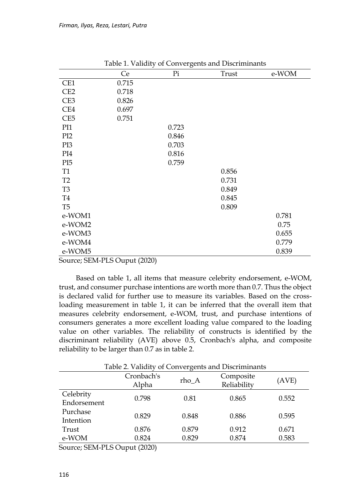|                 | Ce                                                         | Pi    | Trust | e-WOM |
|-----------------|------------------------------------------------------------|-------|-------|-------|
| CE1             | 0.715                                                      |       |       |       |
| CE <sub>2</sub> | 0.718                                                      |       |       |       |
| CE3             | 0.826                                                      |       |       |       |
| CE4             | 0.697                                                      |       |       |       |
| CE <sub>5</sub> | 0.751                                                      |       |       |       |
| PI1             |                                                            | 0.723 |       |       |
| PI <sub>2</sub> |                                                            | 0.846 |       |       |
| PI3             |                                                            | 0.703 |       |       |
| PI4             |                                                            | 0.816 |       |       |
| PI <sub>5</sub> |                                                            | 0.759 |       |       |
| T <sub>1</sub>  |                                                            |       | 0.856 |       |
| T <sub>2</sub>  |                                                            |       | 0.731 |       |
| T <sub>3</sub>  |                                                            |       | 0.849 |       |
| <b>T4</b>       |                                                            |       | 0.845 |       |
| T <sub>5</sub>  |                                                            |       | 0.809 |       |
| e-WOM1          |                                                            |       |       | 0.781 |
| e-WOM2          |                                                            |       |       | 0.75  |
| e-WOM3          |                                                            |       |       | 0.655 |
| e-WOM4          |                                                            |       |       | 0.779 |
| e-WOM5          |                                                            |       |       | 0.839 |
|                 | $\mathbf{m}$ $\mathbf{r}$ $\mathbf{m}$ $\alpha$<br>(0.000) |       |       |       |

Table 1. Validity of Convergents and Discriminants

Source; SEM-PLS Ouput (2020)

Based on table 1, all items that measure celebrity endorsement, e-WOM, trust, and consumer purchase intentions are worth more than 0.7. Thus the object is declared valid for further use to measure its variables. Based on the crossloading measurement in table 1, it can be inferred that the overall item that measures celebrity endorsement, e-WOM, trust, and purchase intentions of consumers generates a more excellent loading value compared to the loading value on other variables. The reliability of constructs is identified by the discriminant reliability (AVE) above 0.5, Cronbach's alpha, and composite reliability to be larger than 0.7 as in table 2.

Table 2. Validity of Convergents and Discriminants Cronbach's onbach's rho\_A Composite<br>Alpha rho\_A Reliability Reliability (AVE) Celebrity Endorsement 0.798 0.81 0.865 0.552 Purchase 1 decrease 1.829 0.848 0.886 0.595 Trust 0.876 0.879 0.912 0.671 e-WOM 0.824 0.829 0.874 0.583

Source; SEM-PLS Ouput (2020)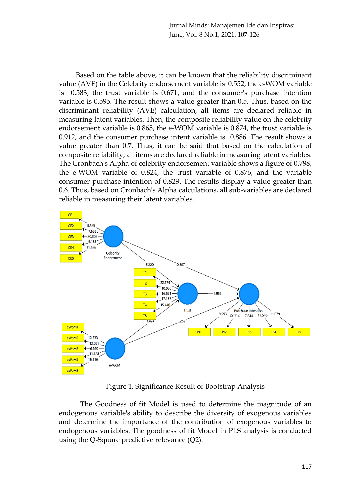Jurnal Minds: Manajemen Ide dan Inspirasi June, Vol. 8 No.1, 2021: 107-126

Based on the table above, it can be known that the reliability discriminant value (AVE) in the Celebrity endorsement variable is 0.552, the e-WOM variable  $0.583$ , the trust variable is  $0.671$ , and the consumer's purchase intention variable is 0.595. The result shows a value greater than 0.5. Thus, based on the discriminant reliability (AVE) calculation, all items are declared reliable in measuring latent variables. Then, the composite reliability value on the celebrity endorsement variable is 0.865, the e-WOM variable is 0.874, the trust variable is 0.912, and the consumer purchase intent variable is 0.886. The result shows a value greater than 0.7. Thus, it can be said that based on the calculation of composite reliability, all items are declared reliable in measuring latent variables. The Cronbach's Alpha of celebrity endorsement variable shows a figure of 0.798, the e-WOM variable of 0.824, the trust variable of 0.876, and the variable consumer purchase intention of 0.829. The results display a value greater than 0.6. Thus, based on Cronbach's Alpha calculations, all sub-variables are declared reliable in measuring their latent variables.



Figure 1. Significance Result of Bootstrap Analysis

The Goodness of fit Model is used to determine the magnitude of an endogenous variable's ability to describe the diversity of exogenous variables and determine the importance of the contribution of exogenous variables to endogenous variables. The goodness of fit Model in PLS analysis is conducted using the Q-Square predictive relevance (Q2).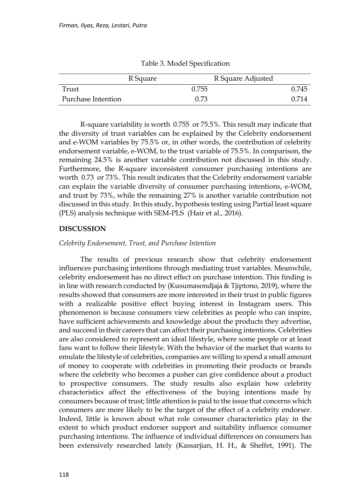| R Square           |  | R Square Adjusted |  |       |
|--------------------|--|-------------------|--|-------|
| Trust              |  | 0.755             |  | 0.745 |
| Purchase Intention |  | 0.73              |  | 0.714 |

Table 3. Model Specification

R-square variability is worth 0.755 or 75.5%. This result may indicate that the diversity of trust variables can be explained by the Celebrity endorsement and e-WOM variables by 75.5% or, in other words, the contribution of celebrity endorsement variable, e-WOM, to the trust variable of 75.5%. In comparison, the remaining 24.5% is another variable contribution not discussed in this study. Furthermore, the R-square inconsistent consumer purchasing intentions are worth 0.73 or 73%. This result indicates that the Celebrity endorsement variable can explain the variable diversity of consumer purchasing intentions, e-WOM, and trust by 73%, while the remaining 27% is another variable contribution not discussed in this study. In this study, hypothesis testing using Partial least square (PLS) analysis technique with SEM-PLS (Hair et al., 2016).

## **DISCUSSION**

## *Celebrity Endorsement, Trust, and Purchase Intention*

The results of previous research show that celebrity endorsement influences purchasing intentions through mediating trust variables. Meanwhile, celebrity endorsement has no direct effect on purchase intention. This finding is in line with research conducted by (Kusumasondjaja & Tjiptono, 2019), where the results showed that consumers are more interested in their trust in public figures with a realizable positive effect buying interest in Instagram users. This phenomenon is because consumers view celebrities as people who can inspire, have sufficient achievements and knowledge about the products they advertise, and succeed in their careers that can affect their purchasing intentions. Celebrities are also considered to represent an ideal lifestyle, where some people or at least fans want to follow their lifestyle. With the behavior of the market that wants to emulate the lifestyle of celebrities, companies are willing to spend a small amount of money to cooperate with celebrities in promoting their products or brands where the celebrity who becomes a pusher can give confidence about a product to prospective consumers. The study results also explain how celebrity characteristics affect the effectiveness of the buying intentions made by consumers because of trust; little attention is paid to the issue that concerns which consumers are more likely to be the target of the effect of a celebrity endorser. Indeed, little is known about what role consumer characteristics play in the extent to which product endorser support and suitability influence consumer purchasing intentions. The influence of individual differences on consumers has been extensively researched lately (Kassarjian, H. H., & Sheffet, 1991). The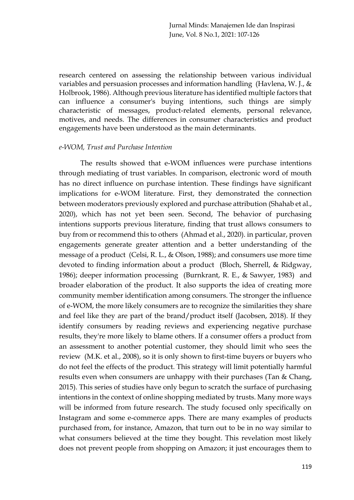research centered on assessing the relationship between various individual variables and persuasion processes and information handling (Havlena, W. J., & Holbrook, 1986). Although previous literature has identified multiple factors that can influence a consumer's buying intentions, such things are simply characteristic of messages, product-related elements, personal relevance, motives, and needs. The differences in consumer characteristics and product engagements have been understood as the main determinants.

#### *e-WOM, Trust and Purchase Intention*

The results showed that e-WOM influences were purchase intentions through mediating of trust variables. In comparison, electronic word of mouth has no direct influence on purchase intention. These findings have significant implications for e-WOM literature. First, they demonstrated the connection between moderators previously explored and purchase attribution (Shahab et al., 2020), which has not yet been seen. Second, The behavior of purchasing intentions supports previous literature, finding that trust allows consumers to buy from or recommend this to others (Ahmad et al., 2020). in particular, proven engagements generate greater attention and a better understanding of the message of a product (Celsi, R. L., & Olson, 1988); and consumers use more time devoted to finding information about a product (Bloch, Sherrell, & Ridgway, 1986); deeper information processing (Burnkrant, R. E., & Sawyer, 1983) and broader elaboration of the product. It also supports the idea of creating more community member identification among consumers. The stronger the influence of e-WOM, the more likely consumers are to recognize the similarities they share and feel like they are part of the brand/product itself (Jacobsen, 2018). If they identify consumers by reading reviews and experiencing negative purchase results, they're more likely to blame others. If a consumer offers a product from an assessment to another potential customer, they should limit who sees the review (M.K. et al., 2008), so it is only shown to first-time buyers or buyers who do not feel the effects of the product. This strategy will limit potentially harmful results even when consumers are unhappy with their purchases (Tan & Chang, 2015). This series of studies have only begun to scratch the surface of purchasing intentions in the context of online shopping mediated by trusts. Many more ways will be informed from future research. The study focused only specifically on Instagram and some e-commerce apps. There are many examples of products purchased from, for instance, Amazon, that turn out to be in no way similar to what consumers believed at the time they bought. This revelation most likely does not prevent people from shopping on Amazon; it just encourages them to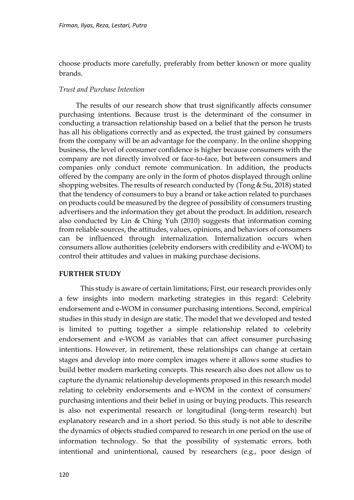choose products more carefully, preferably from better known or more quality brands.

#### *Trust and Purchase Intention*

The results of our research show that trust significantly affects consumer purchasing intentions. Because trust is the determinant of the consumer in conducting a transaction relationship based on a belief that the person he trusts has all his obligations correctly and as expected, the trust gained by consumers from the company will be an advantage for the company. In the online shopping business, the level of consumer confidence is higher because consumers with the company are not directly involved or face-to-face, but between consumers and companies only conduct remote communication. In addition, the products offered by the company are only in the form of photos displayed through online shopping websites. The results of research conducted by (Tong & Su, 2018) stated that the tendency of consumers to buy a brand or take action related to purchases on products could be measured by the degree of possibility of consumers trusting advertisers and the information they get about the product. In addition, research also conducted by Lin & Ching Yuh (2010) suggests that information coming from reliable sources, the attitudes, values, opinions, and behaviors of consumers can be influenced through internalization. Internalization occurs when consumers allow authorities (celebrity endorsers with credibility and e-WOM) to control their attitudes and values in making purchase decisions.

#### **FURTHER STUDY**

This study is aware of certain limitations; First, our research provides only a few insights into modern marketing strategies in this regard: Celebrity endorsement and e-WOM in consumer purchasing intentions. Second, empirical studies in this study in design are static. The model that we developed and tested is limited to putting together a simple relationship related to celebrity endorsement and e-WOM as variables that can affect consumer purchasing intentions. However, in retirement, these relationships can change at certain stages and develop into more complex images where it allows some studies to build better modern marketing concepts. This research also does not allow us to capture the dynamic relationship developments proposed in this research model relating to celebrity endorsements and e-WOM in the context of consumers' purchasing intentions and their belief in using or buying products. This research is also not experimental research or longitudinal (long-term research) but explanatory research and in a short period. So this study is not able to describe the dynamics of objects studied compared to research in one period on the use of information technology. So that the possibility of systematic errors, both intentional and unintentional, caused by researchers (e.g., poor design of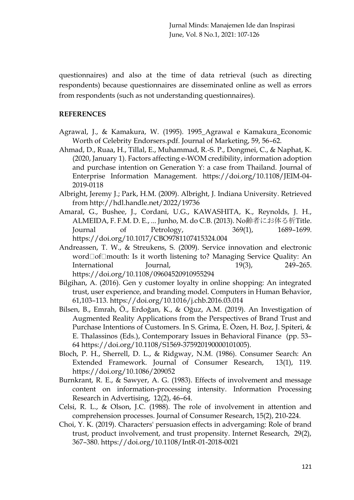questionnaires) and also at the time of data retrieval (such as directing respondents) because questionnaires are disseminated online as well as errors from respondents (such as not understanding questionnaires).

### **REFERENCES**

- Agrawal, J., & Kamakura, W. (1995). 1995\_Agrawal e Kamakura\_Economic Worth of Celebrity Endorsers.pdf. Journal of Marketing, 59, 56–62.
- Ahmad, D., Ruaa, H., Tillal, E., Muhammad, R.-S. P., Dongmei, C., & Naphat, K. (2020, January 1). Factors affecting e-WOM credibility, information adoption and purchase intention on Generation Y: a case from Thailand. Journal of Enterprise Information Management. https://doi.org/10.1108/JEIM-04- 2019-0118
- Albright, Jeremy J.; Park, H.M. (2009). Albright, J. Indiana University. Retrieved from http://hdl.handle.net/2022/19736
- Amaral, G., Bushee, J., Cordani, U.G., KAWASHITA, K., Reynolds, J. H., ALMEIDA, F. F.M. D. E., ... Junho, M. do C.B. (2013). No齢者にお体る析Title. Journal of Petrology, 369(1), 1689–1699. https://doi.org/10.1017/CBO9781107415324.004
- Andreassen, T. W., & Streukens, S. (2009). Service innovation and electronic word Of mouth: Is it worth listening to? Managing Service Quality: An International Journal, 19(3), 249–265. https://doi.org/10.1108/09604520910955294
- Bilgihan, A. (2016). Gen y customer loyalty in online shopping: An integrated trust, user experience, and branding model. Computers in Human Behavior, 61,103–113. https://doi.org/10.1016/j.chb.2016.03.014
- Bilsen, B., Emrah, Ö., Erdoğan, K., & Oğuz, A.M. (2019). An Investigation of Augmented Reality Applications from the Perspectives of Brand Trust and Purchase Intentions of Customers. In S. Grima, E. Özen, H. Boz, J. Spiteri, & E. Thalassinos (Eds.), Contemporary Issues in Behavioral Finance (pp. 53– 64 https://doi.org/10.1108/S1569-375920190000101005).
- Bloch, P. H., Sherrell, D. L., & Ridgway, N.M. (1986). Consumer Search: An Extended Framework. Journal of Consumer Research, 13(1), 119. https://doi.org/10.1086/209052
- Burnkrant, R. E., & Sawyer, A. G. (1983). Effects of involvement and message content on information-processing intensity. Information Processing Research in Advertising, 12(2), 46–64.
- Celsi, R. L., & Olson, J.C. (1988). The role of involvement in attention and comprehension processes. Journal of Consumer Research, 15(2), 210-224.
- Choi, Y. K. (2019). Characters' persuasion effects in advergaming: Role of brand trust, product involvement, and trust propensity. Internet Research, 29(2), 367–380. https://doi.org/10.1108/IntR-01-2018-0021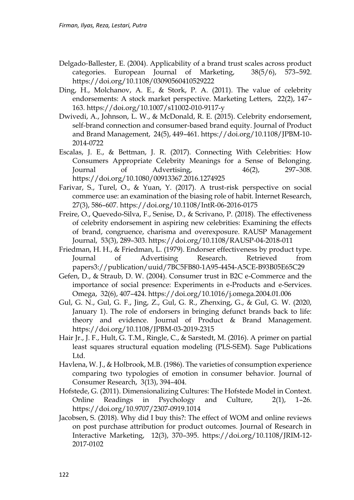- Delgado‐Ballester, E. (2004). Applicability of a brand trust scales across product categories. European Journal of Marketing, 38(5/6), 573–592. https://doi.org/10.1108/03090560410529222
- Ding, H., Molchanov, A. E., & Stork, P. A. (2011). The value of celebrity endorsements: A stock market perspective. Marketing Letters, 22(2), 147– 163. https://doi.org/10.1007/s11002-010-9117-y
- Dwivedi, A., Johnson, L. W., & McDonald, R. E. (2015). Celebrity endorsement, self-brand connection and consumer-based brand equity. Journal of Product and Brand Management, 24(5), 449–461. https://doi.org/10.1108/JPBM-10- 2014-0722
- Escalas, J. E., & Bettman, J. R. (2017). Connecting With Celebrities: How Consumers Appropriate Celebrity Meanings for a Sense of Belonging. Journal of Advertising, 46(2), 297–308. https://doi.org/10.1080/00913367.2016.1274925
- Farivar, S., Turel, O., & Yuan, Y. (2017). A trust-risk perspective on social commerce use: an examination of the biasing role of habit. Internet Research, 27(3), 586–607. https://doi.org/10.1108/IntR-06-2016-0175
- Freire, O., Quevedo-Silva, F., Senise, D., & Scrivano, P. (2018). The effectiveness of celebrity endorsement in aspiring new celebrities: Examining the effects of brand, congruence, charisma and overexposure. RAUSP Management Journal, 53(3), 289–303. https://doi.org/10.1108/RAUSP-04-2018-011
- Friedman, H. H., & Friedman, L. (1979). Endorser effectiveness by product type. Journal of Advertising Research. Retrieved from papers3://publication/uuid/7BC5FB80-1A95-4454-A5CE-B93B05E65C29
- Gefen, D., & Straub, D. W. (2004). Consumer trust in B2C e-Commerce and the importance of social presence: Experiments in e-Products and e-Services. Omega, 32(6), 407–424. https://doi.org/10.1016/j.omega.2004.01.006
- Gul, G. N., Gul, G. F., Jing, Z., Gul, G. R., Zhenxing, G., & Gul, G. W. (2020, January 1). The role of endorsers in bringing defunct brands back to life: theory and evidence. Journal of Product & Brand Management. https://doi.org/10.1108/JPBM-03-2019-2315
- Hair Jr., J. F., Hult, G. T.M., Ringle, C., & Sarstedt, M. (2016). A primer on partial least squares structural equation modeling (PLS-SEM). Sage Publications Ltd.
- Havlena, W. J., & Holbrook, M.B. (1986). The varieties of consumption experience comparing two typologies of emotion in consumer behavior. Journal of Consumer Research, 3(13), 394–404.
- Hofstede, G. (2011). Dimensionalizing Cultures: The Hofstede Model in Context. Online Readings in Psychology and Culture, 2(1), 1–26. https://doi.org/10.9707/2307-0919.1014
- Jacobsen, S. (2018). Why did I buy this?: The effect of WOM and online reviews on post purchase attribution for product outcomes. Journal of Research in Interactive Marketing, 12(3), 370–395. https://doi.org/10.1108/JRIM-12- 2017-0102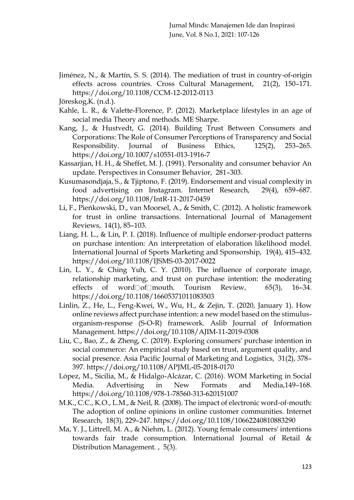- Jiménez, N., & Martín, S. S. (2014). The mediation of trust in country-of-origin effects across countries. Cross Cultural Management, 21(2), 150–171. https://doi.org/10.1108/CCM-12-2012-0113
- Jöreskog,K. (n.d.).
- Kahle, L. R., & Valette-Florence, P. (2012). Marketplace lifestyles in an age of social media Theory and methods. ME Sharpe.
- Kang, J., & Hustvedt, G. (2014). Building Trust Between Consumers and Corporations: The Role of Consumer Perceptions of Transparency and Social Responsibility. Journal of Business Ethics, 125(2), 253–265. https://doi.org/10.1007/s10551-013-1916-7
- Kassarjian, H. H., & Sheffet, M. J. (1991). Personality and consumer behavior An update. Perspectives in Consumer Behavior, 281–303.
- Kusumasondjaja, S., & Tjiptono, F. (2019). Endorsement and visual complexity in food advertising on Instagram. Internet Research, 29(4), 659–687. https://doi.org/10.1108/IntR-11-2017-0459
- Li, F., Pieńkowski, D., van Moorsel, A., & Smith, C. (2012). A holistic framework for trust in online transactions. International Journal of Management Reviews, 14(1), 85–103.
- Liang, H. L., & Lin, P. I. (2018). Influence of multiple endorser-product patterns on purchase intention: An interpretation of elaboration likelihood model. International Journal of Sports Marketing and Sponsorship, 19(4), 415–432. https://doi.org/10.1108/IJSMS-03-2017-0022
- Lin, L. Y., & Ching Yuh, C. Y. (2010). The influence of corporate image, relationship marketing, and trust on purchase intention: the moderating effects of word  $\Box$ of  $\Box$ mouth. Tourism Review, 65(3), 16-34. https://doi.org/10.1108/16605371011083503
- Linlin, Z., He, L., Feng-Kwei, W., Wu, H., & Zejin, T. (2020, January 1). How online reviews affect purchase intention: a new model based on the stimulusorganism-response (S-O-R) framework. Aslib Journal of Information Management. https://doi.org/10.1108/AJIM-11-2019-0308
- Liu, C., Bao, Z., & Zheng, C. (2019). Exploring consumers' purchase intention in social commerce: An empirical study based on trust, argument quality, and social presence. Asia Pacific Journal of Marketing and Logistics, 31(2), 378– 397. https://doi.org/10.1108/APJML-05-2018-0170
- López, M., Sicilia, M., & Hidalgo-Alcázar, C. (2016). WOM Marketing in Social Media. Advertising in New Formats and Media,149–168. https://doi.org/10.1108/978-1-78560-313-620151007
- M.K., C.C., K.O., L.M., & Neil, R. (2008). The impact of electronic word-of-mouth: The adoption of online opinions in online customer communities. Internet Research, 18(3), 229–247. https://doi.org/10.1108/10662240810883290
- Ma, Y. J., Littrell, M. A., & Niehm, L. (2012). Young female consumers' intentions towards fair trade consumption. International Journal of Retail & Distribution Management. , 5(3).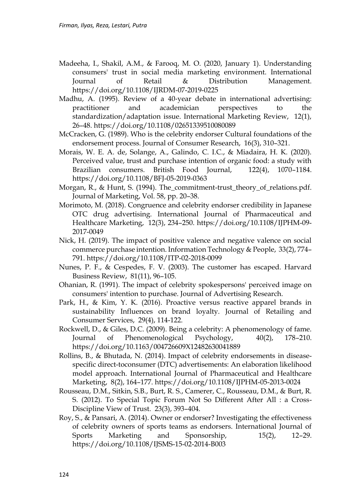- Madeeha, I., Shakil, A.M., & Farooq, M. O. (2020, January 1). Understanding consumers' trust in social media marketing environment. International Journal of Retail & Distribution Management. https://doi.org/10.1108/IJRDM-07-2019-0225
- Madhu, A. (1995). Review of a 40‐year debate in international advertising: practitioner and academician perspectives to the standardization/adaptation issue. International Marketing Review, 12(1), 26–48. https://doi.org/10.1108/02651339510080089
- McCracken, G. (1989). Who is the celebrity endorser Cultural foundations of the endorsement process. Journal of Consumer Research, 16(3), 310–321.
- Morais, W. E. A. de, Solange, A., Galindo, C. I.C., & Miadaira, H. K. (2020). Perceived value, trust and purchase intention of organic food: a study with Brazilian consumers. British Food Journal, 122(4), 1070–1184. https://doi.org/10.1108/BFJ-05-2019-0363
- Morgan, R., & Hunt, S. (1994). The\_commitment-trust\_theory\_of\_relations.pdf. Journal of Marketing, Vol. 58, pp. 20–38.
- Morimoto, M. (2018). Congruence and celebrity endorser credibility in Japanese OTC drug advertising. International Journal of Pharmaceutical and Healthcare Marketing, 12(3), 234–250. https://doi.org/10.1108/IJPHM-09- 2017-0049
- Nick, H. (2019). The impact of positive valence and negative valence on social commerce purchase intention. Information Technology & People, 33(2), 774– 791. https://doi.org/10.1108/ITP-02-2018-0099
- Nunes, P. F., & Cespedes, F. V. (2003). The customer has escaped. Harvard Business Review, 81(11), 96–105.
- Ohanian, R. (1991). The impact of celebrity spokespersons' perceived image on consumers' intention to purchase. Journal of Advertising Research.
- Park, H., & Kim, Y. K. (2016). Proactive versus reactive apparel brands in sustainability Influences on brand loyalty. Journal of Retailing and Consumer Services, 29(4), 114-122.
- Rockwell, D., & Giles, D.C. (2009). Being a celebrity: A phenomenology of fame. Journal of Phenomenological Psychology, 40(2), 178–210. https://doi.org/10.1163/004726609X12482630041889
- Rollins, B., & Bhutada, N. (2014). Impact of celebrity endorsements in diseasespecific direct-toconsumer (DTC) advertisements: An elaboration likelihood model approach. International Journal of Pharmaceutical and Healthcare Marketing, 8(2), 164–177. https://doi.org/10.1108/IJPHM-05-2013-0024
- Rousseau, D.M., Sitkin, S.B., Burt, R. S., Camerer, C., Rousseau, D.M., & Burt, R. S. (2012). To Special Topic Forum Not So Different After All : a Cross-Discipline View of Trust. 23(3), 393–404.
- Roy, S., & Pansari, A. (2014). Owner or endorser? Investigating the effectiveness of celebrity owners of sports teams as endorsers. International Journal of Sports Marketing and Sponsorship, 15(2), 12–29. https://doi.org/10.1108/IJSMS-15-02-2014-B003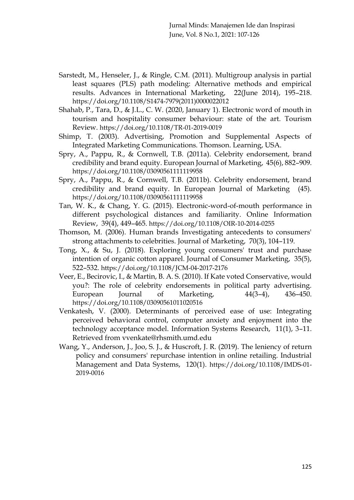- Sarstedt, M., Henseler, J., & Ringle, C.M. (2011). Multigroup analysis in partial least squares (PLS) path modeling: Alternative methods and empirical results. Advances in International Marketing, 22(June 2014), 195–218. [https://doi.org/10.1108/S1474-7979\(2011\)0000022012](https://doi.org/10.1108/S1474-7979(2011)0000022012)
- Shahab, P., Tara, D., & J.L., C. W. (2020, January 1). Electronic word of mouth in tourism and hospitality consumer behaviour: state of the art. Tourism Review. <https://doi.org/10.1108/TR-01-2019-0019>
- Shimp, T. (2003). Advertising, Promotion and Supplemental Aspects of Integrated Marketing Communications. Thomson. Learning, USA.
- Spry, A., Pappu, R., & Cornwell, T.B. (2011a). Celebrity endorsement, brand credibility and brand equity. European Journal of Marketing, 45(6), 882–909. <https://doi.org/10.1108/03090561111119958>
- Spry, A., Pappu, R., & Cornwell, T.B. (2011b). Celebrity endorsement, brand credibility and brand equity. In European Journal of Marketing (45). <https://doi.org/10.1108/03090561111119958>
- Tan, W. K., & Chang, Y. G. (2015). Electronic-word-of-mouth performance in different psychological distances and familiarity. Online Information Review, 39(4), 449–465. <https://doi.org/10.1108/OIR-10-2014-0255>
- Thomson, M. (2006). Human brands Investigating antecedents to consumers' strong attachments to celebrities. Journal of Marketing, 70(3), 104–119.
- Tong, X., & Su, J. (2018). Exploring young consumers' trust and purchase intention of organic cotton apparel. Journal of Consumer Marketing, 35(5), 522–532. <https://doi.org/10.1108/JCM-04-2017-2176>
- Veer, E., Becirovic, I., & Martin, B. A. S. (2010). If Kate voted Conservative, would you?: The role of celebrity endorsements in political party advertising. European Journal of Marketing, 44(3–4), 436–450. <https://doi.org/10.1108/03090561011020516>
- Venkatesh, V. (2000). Determinants of perceived ease of use: Integrating perceived behavioral control, computer anxiety and enjoyment into the technology acceptance model. Information Systems Research, 11(1), 3–11. Retrieved from [vvenkate@rhsmith.umd.edu](mailto:vvenkate@rhsmith.umd.edu)
- Wang, Y., Anderson, J., Joo, S. J., & Huscroft, J. R. (2019). The leniency of return policy and consumers' repurchase intention in online retailing. Industrial Management and Data Systems, 120(1). [https://doi.org/10.1108/IMDS-01-](https://doi.org/10.1108/IMDS-01-2019-0016) [2019-0016](https://doi.org/10.1108/IMDS-01-2019-0016)